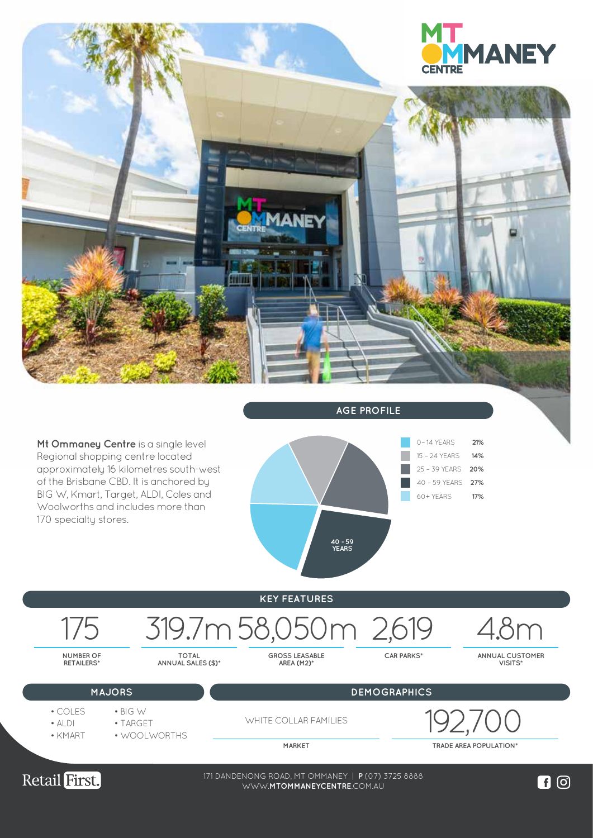

Retail First.

171 DANDENONG ROAD, MT OMMANEY | **P** (07) 3725 8888 WWW.**LOGANCENTRALPLAZA**.COM.AU WWW.**MTOMMANEYCENTRE**.COM.AU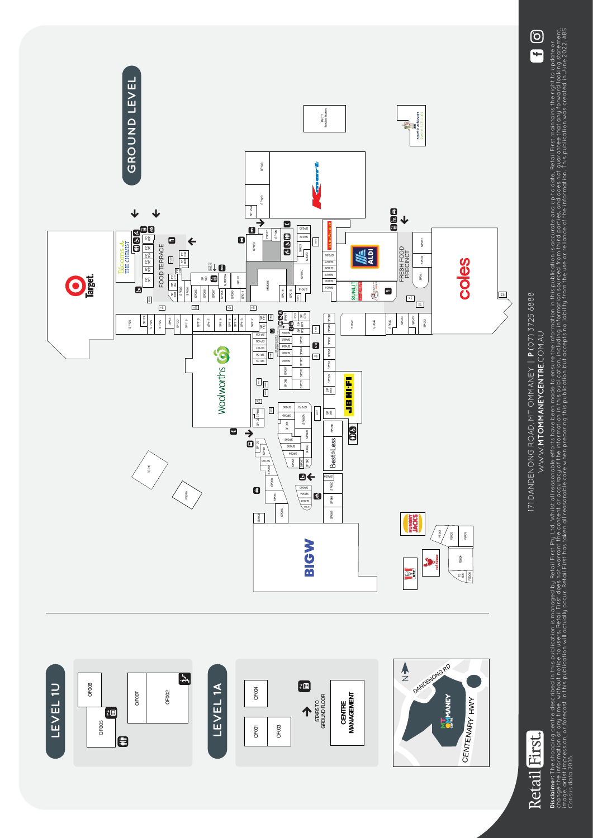

**Disclaimer:** The shopping centre described in this publication is manoged by Refail First Ply Ltd. Whilst all reasonable efforts how been made to ensure the information is accurate and up to date, Retail First maintains t change the information at any thout notice to users. Retail First does not warrant the content or accuracy of the information in this publication, including information sourced from third parties, and does not quarantee th mage, artist impression, or forecast in this publication will actually accur. Retail hers to a tell first has taken all reasonable care when preparing this publication the use of the information. This publication was creat Disclaimer. The shopping centre described in this publication is managed by Retail Retail Prist and It at Mist all reasonable efforts have been made to ensure the information in finis publication is accurate and up to date Census data 2016.